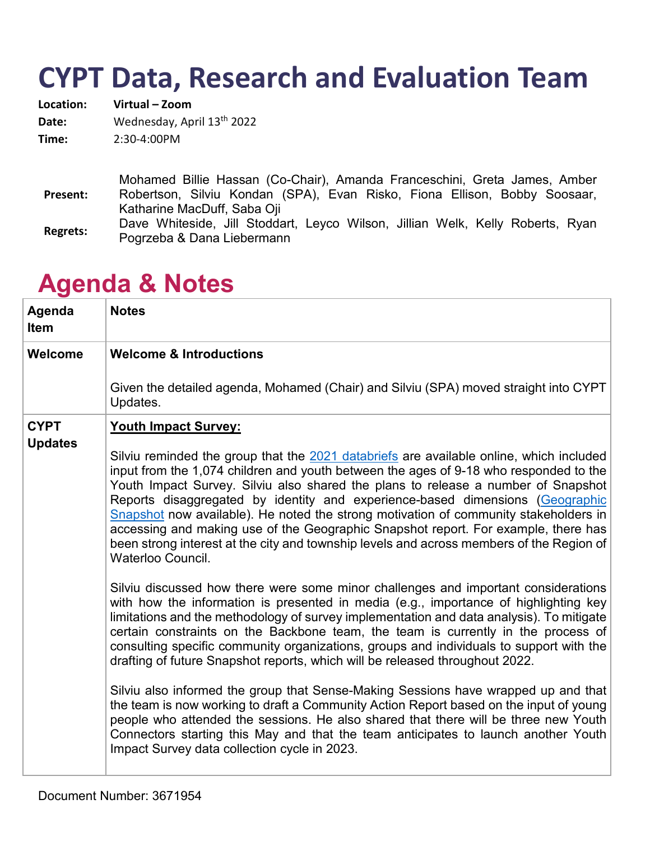# **CYPT Data, Research and Evaluation Team**

| Location: | Virtual - Zoom             |
|-----------|----------------------------|
| Date:     | Wednesday, April 13th 2022 |
| Time:     | $2:30-4:00PM$              |
|           |                            |

**Present:**  Mohamed Billie Hassan (Co-Chair), Amanda Franceschini, Greta James, Amber Robertson, Silviu Kondan (SPA), Evan Risko, Fiona Ellison, Bobby Soosaar, Katharine MacDuff, Saba Oji **Regrets:** Dave Whiteside, Jill Stoddart, Leyco Wilson, Jillian Welk, Kelly Roberts, Ryan Pogrzeba & Dana Liebermann

### **Agenda Item Notes Welcome Welcome & Introductions** Given the detailed agenda, Mohamed (Chair) and Silviu (SPA) moved straight into CYPT Updates. **CYPT Updates Youth Impact Survey:** Silviu reminded the group that the [2021 databriefs](https://linkprotect.cudasvc.com/url?a=https%3a%2f%2fchildrenandyouthplanningtable.ca%2fwp-content%2fuploads%2f2021%2f12%2fCYPT-2021-DATA-BRIEF-REPORT.pdf&c=E,1,-5lx3TcHPBiR7g_1TGiRdtKJYZcAIBa_MtZIVbewar86mwSAxMDyZWzAHmPpId5ADaDzNCF6mjUV2G5XtzP5SdSGQNOXYapcR1Bi6mB8IGhsgMdiXQrm2rM,&typo=1) are available online, which included input from the 1,074 children and youth between the ages of 9-18 who responded to the Youth Impact Survey. Silviu also shared the plans to release a number of Snapshot Reports disaggregated by identity and experience-based dimensions [\(Geographic](https://linkprotect.cudasvc.com/url?a=https%3a%2f%2fchildrenandyouthplanningtable.ca%2fwp-content%2fuploads%2f2022%2f03%2fCYPT-YIS-GEOGRAPHY-SNAPSHOT.pdf&c=E,1,BfS_oKmDYWSzLTUo6-Uve7YwQJLMHrWSLjLCnOEvxuFov7kpyAeGqlF7cQ87_2BgKP7fLqyfvQYC7NvDvpnDoV-FYiiLuBEuP6Z8mSml&typo=1)  [Snapshot](https://linkprotect.cudasvc.com/url?a=https%3a%2f%2fchildrenandyouthplanningtable.ca%2fwp-content%2fuploads%2f2022%2f03%2fCYPT-YIS-GEOGRAPHY-SNAPSHOT.pdf&c=E,1,BfS_oKmDYWSzLTUo6-Uve7YwQJLMHrWSLjLCnOEvxuFov7kpyAeGqlF7cQ87_2BgKP7fLqyfvQYC7NvDvpnDoV-FYiiLuBEuP6Z8mSml&typo=1) now available). He noted the strong motivation of community stakeholders in accessing and making use of the Geographic Snapshot report. For example, there has been strong interest at the city and township levels and across members of the Region of Waterloo Council. Silviu discussed how there were some minor challenges and important considerations with how the information is presented in media (e.g., importance of highlighting key limitations and the methodology of survey implementation and data analysis). To mitigate certain constraints on the Backbone team, the team is currently in the process of consulting specific community organizations, groups and individuals to support with the drafting of future Snapshot reports, which will be released throughout 2022. Silviu also informed the group that Sense-Making Sessions have wrapped up and that the team is now working to draft a Community Action Report based on the input of young people who attended the sessions. He also shared that there will be three new Youth Connectors starting this May and that the team anticipates to launch another Youth Impact Survey data collection cycle in 2023.

## **Agenda & Notes**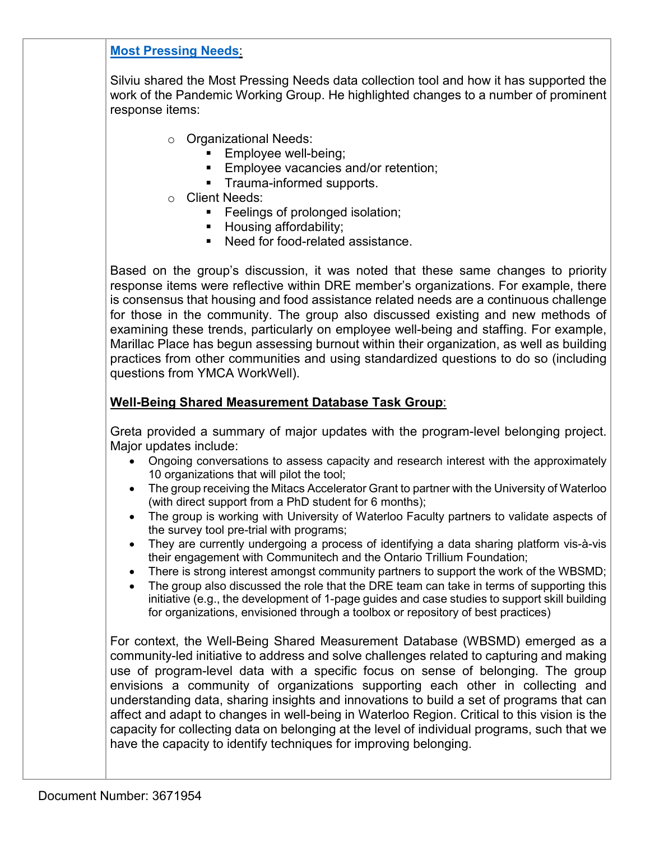### **[Most Pressing Needs](https://linkprotect.cudasvc.com/url?a=https%3a%2f%2fchildrenandyouthplanningtable.ca%2fmost-pressing-needs-assessment%2f&c=E,1,kQn12xxI6CUSFA_21oEopB9LLuIVovrrdGLr0PRM3Dg5SxVGNJEOq0VDcI8HTXhUecsoGZVe7zJpqSjZGBfA0AChbtKFA7z_m2j1io6leINFYkHM-o3MTQ,,&typo=1)**:

Silviu shared the Most Pressing Needs data collection tool and how it has supported the work of the Pandemic Working Group. He highlighted changes to a number of prominent response items:

- o Organizational Needs:
	- **Employee well-being;**
	- **Employee vacancies and/or retention;**
	- **Trauma-informed supports.**
- o Client Needs:
	- **Feelings of prolonged isolation:**
	- **Housing affordability;**
	- Need for food-related assistance.

Based on the group's discussion, it was noted that these same changes to priority response items were reflective within DRE member's organizations. For example, there is consensus that housing and food assistance related needs are a continuous challenge for those in the community. The group also discussed existing and new methods of examining these trends, particularly on employee well-being and staffing. For example, Marillac Place has begun assessing burnout within their organization, as well as building practices from other communities and using standardized questions to do so (including questions from YMCA WorkWell).

#### **Well-Being Shared Measurement Database Task Group**:

Greta provided a summary of major updates with the program-level belonging project. Major updates include:

- Ongoing conversations to assess capacity and research interest with the approximately 10 organizations that will pilot the tool;
- The group receiving the Mitacs Accelerator Grant to partner with the University of Waterloo (with direct support from a PhD student for 6 months);
- The group is working with University of Waterloo Faculty partners to validate aspects of the survey tool pre-trial with programs;
- They are currently undergoing a process of identifying a data sharing platform vis-à-vis their engagement with Communitech and the Ontario Trillium Foundation;
- There is strong interest amongst community partners to support the work of the WBSMD;
- The group also discussed the role that the DRE team can take in terms of supporting this initiative (e.g., the development of 1-page guides and case studies to support skill building for organizations, envisioned through a toolbox or repository of best practices)

For context, the Well-Being Shared Measurement Database (WBSMD) emerged as a community-led initiative to address and solve challenges related to capturing and making use of program-level data with a specific focus on sense of belonging. The group envisions a community of organizations supporting each other in collecting and understanding data, sharing insights and innovations to build a set of programs that can affect and adapt to changes in well-being in Waterloo Region. Critical to this vision is the capacity for collecting data on belonging at the level of individual programs, such that we have the capacity to identify techniques for improving belonging.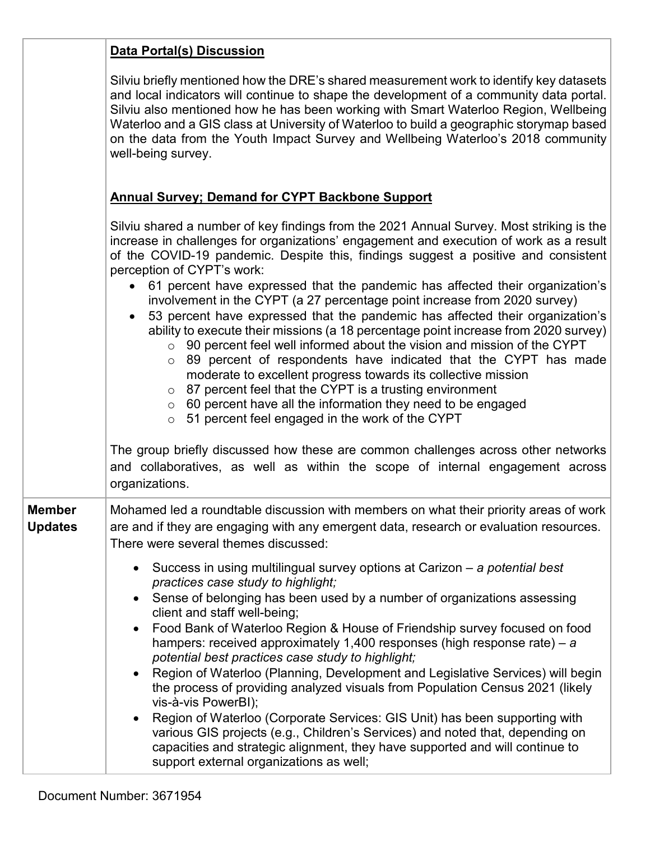|                | Data Portal(s) Discussion                                                                                                                                                                                                                                                                                                                                                                                                                                                                                                                                                                                                                                                                                                                                                                                                                                                                                                                                                                                                                                                                                                                                                                                                                                                       |
|----------------|---------------------------------------------------------------------------------------------------------------------------------------------------------------------------------------------------------------------------------------------------------------------------------------------------------------------------------------------------------------------------------------------------------------------------------------------------------------------------------------------------------------------------------------------------------------------------------------------------------------------------------------------------------------------------------------------------------------------------------------------------------------------------------------------------------------------------------------------------------------------------------------------------------------------------------------------------------------------------------------------------------------------------------------------------------------------------------------------------------------------------------------------------------------------------------------------------------------------------------------------------------------------------------|
|                | Silviu briefly mentioned how the DRE's shared measurement work to identify key datasets<br>and local indicators will continue to shape the development of a community data portal.<br>Silviu also mentioned how he has been working with Smart Waterloo Region, Wellbeing<br>Waterloo and a GIS class at University of Waterloo to build a geographic storymap based<br>on the data from the Youth Impact Survey and Wellbeing Waterloo's 2018 community<br>well-being survey.                                                                                                                                                                                                                                                                                                                                                                                                                                                                                                                                                                                                                                                                                                                                                                                                  |
|                | <b>Annual Survey; Demand for CYPT Backbone Support</b>                                                                                                                                                                                                                                                                                                                                                                                                                                                                                                                                                                                                                                                                                                                                                                                                                                                                                                                                                                                                                                                                                                                                                                                                                          |
|                | Silviu shared a number of key findings from the 2021 Annual Survey. Most striking is the<br>increase in challenges for organizations' engagement and execution of work as a result<br>of the COVID-19 pandemic. Despite this, findings suggest a positive and consistent<br>perception of CYPT's work:<br>61 percent have expressed that the pandemic has affected their organization's<br>$\bullet$<br>involvement in the CYPT (a 27 percentage point increase from 2020 survey)<br>53 percent have expressed that the pandemic has affected their organization's<br>$\bullet$<br>ability to execute their missions (a 18 percentage point increase from 2020 survey)<br>$\circ$ 90 percent feel well informed about the vision and mission of the CYPT<br>$\circ$ 89 percent of respondents have indicated that the CYPT has made<br>moderate to excellent progress towards its collective mission<br>$\circ$ 87 percent feel that the CYPT is a trusting environment<br>$\circ$ 60 percent have all the information they need to be engaged<br>$\circ$ 51 percent feel engaged in the work of the CYPT<br>The group briefly discussed how these are common challenges across other networks<br>and collaboratives, as well as within the scope of internal engagement across |
| <b>Member</b>  | organizations.<br>Mohamed led a roundtable discussion with members on what their priority areas of work                                                                                                                                                                                                                                                                                                                                                                                                                                                                                                                                                                                                                                                                                                                                                                                                                                                                                                                                                                                                                                                                                                                                                                         |
| <b>Updates</b> | are and if they are engaging with any emergent data, research or evaluation resources.<br>There were several themes discussed:                                                                                                                                                                                                                                                                                                                                                                                                                                                                                                                                                                                                                                                                                                                                                                                                                                                                                                                                                                                                                                                                                                                                                  |
|                | Success in using multilingual survey options at Carizon $-$ a potential best<br>practices case study to highlight;<br>Sense of belonging has been used by a number of organizations assessing<br>client and staff well-being;<br>Food Bank of Waterloo Region & House of Friendship survey focused on food<br>hampers: received approximately 1,400 responses (high response rate) – $a$<br>potential best practices case study to highlight;<br>Region of Waterloo (Planning, Development and Legislative Services) will begin<br>the process of providing analyzed visuals from Population Census 2021 (likely<br>vis-à-vis PowerBI);<br>Region of Waterloo (Corporate Services: GIS Unit) has been supporting with<br>various GIS projects (e.g., Children's Services) and noted that, depending on<br>capacities and strategic alignment, they have supported and will continue to<br>support external organizations as well;                                                                                                                                                                                                                                                                                                                                               |